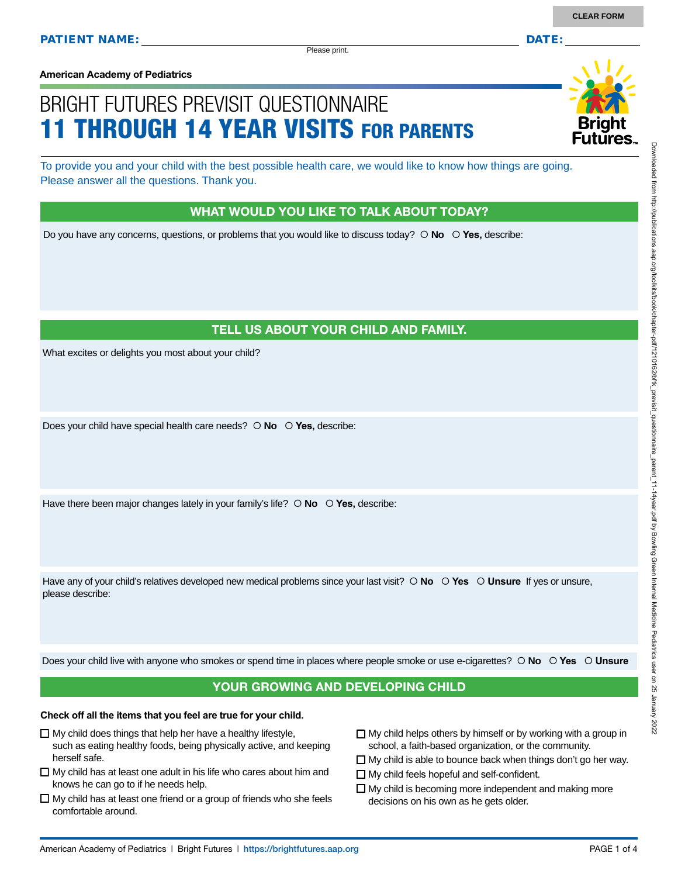Please print.

**American Academy of Pediatrics**

# BRIGHT FUTURES PREVISIT QUESTIONNAIRE 11 THROUGH 14 YEAR VISITS FOR PARENTS

To provide you and your child with the best possible health care, we would like to know how things are going. Please answer all the questions. Thank you.

#### WHAT WOULD YOU LIKE TO TALK ABOUT TODAY?

Do you have any concerns, questions, or problems that you would like to discuss today?  $\circ$  No  $\circ$  Yes, describe:

#### TELL US ABOUT YOUR CHILD AND FAMILY.

What excites or delights you most about your child?

Does your child have special health care needs?  $\circ$  **No**  $\circ$  **Yes**, describe:

Have there been major changes lately in your family's life?  $\circ$  **No**  $\circ$  **Yes**, describe:

Have any of your child's relatives developed new medical problems since your last visit?  $\circ$  **No**  $\circ$  **Yes**  $\circ$  **Unsure** If yes or unsure, please describe:

Does your child live with anyone who smokes or spend time in places where people smoke or use e-cigarettes?  **No Yes Unsure**

#### YOUR GROWING AND DEVELOPING CHILD

#### **Check off all the items that you feel are true for your child.**

- $\Box$  My child does things that help her have a healthy lifestyle, such as eating healthy foods, being physically active, and keeping herself safe.
- $\Box$  My child has at least one adult in his life who cares about him and knows he can go to if he needs help.
- $\Box$  My child has at least one friend or a group of friends who she feels comfortable around.
- $\Box$  My child helps others by himself or by working with a group in school, a faith-based organization, or the community.
- $\Box$  My child is able to bounce back when things don't go her way.
- □ My child feels hopeful and self-confident.
- $\Box$  My child is becoming more independent and making more decisions on his own as he gets older.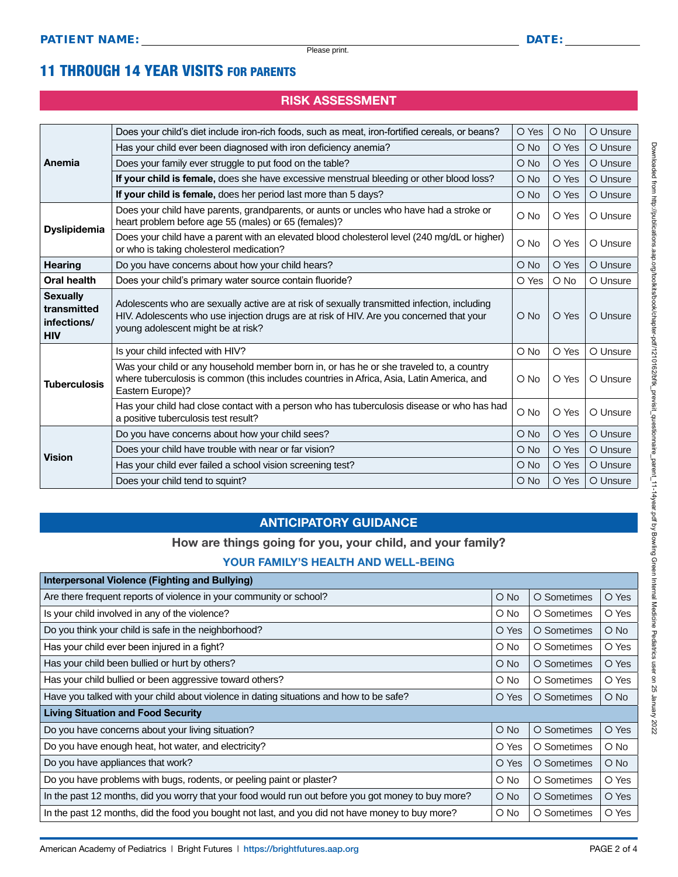# 11 THROUGH 14 YEAR VISITS FOR PARENTS

#### RISK ASSESSMENT

|                                                             | Does your child's diet include iron-rich foods, such as meat, iron-fortified cereals, or beans?                                                                                                                                | O Yes         | $O$ No        | O Unsure |
|-------------------------------------------------------------|--------------------------------------------------------------------------------------------------------------------------------------------------------------------------------------------------------------------------------|---------------|---------------|----------|
|                                                             | Has your child ever been diagnosed with iron deficiency anemia?                                                                                                                                                                | O No          | O Yes         | O Unsure |
| Anemia                                                      | Does your family ever struggle to put food on the table?                                                                                                                                                                       | $\bigcirc$ No | O Yes         | O Unsure |
|                                                             | If your child is female, does she have excessive menstrual bleeding or other blood loss?                                                                                                                                       | O No          | O Yes         | O Unsure |
|                                                             | If your child is female, does her period last more than 5 days?                                                                                                                                                                | O No          | O Yes         | O Unsure |
|                                                             | Does your child have parents, grandparents, or aunts or uncles who have had a stroke or<br>heart problem before age 55 (males) or 65 (females)?                                                                                | O No          | O Yes         | O Unsure |
| <b>Dyslipidemia</b>                                         | Does your child have a parent with an elevated blood cholesterol level (240 mg/dL or higher)<br>or who is taking cholesterol medication?                                                                                       | O No          | O Yes         | O Unsure |
| <b>Hearing</b>                                              | Do you have concerns about how your child hears?                                                                                                                                                                               | $\bigcirc$ No | O Yes         | O Unsure |
| <b>Oral health</b>                                          | Does your child's primary water source contain fluoride?                                                                                                                                                                       | O Yes         | $\bigcirc$ No | O Unsure |
| <b>Sexually</b><br>transmitted<br>infections/<br><b>HIV</b> | Adolescents who are sexually active are at risk of sexually transmitted infection, including<br>HIV. Adolescents who use injection drugs are at risk of HIV. Are you concerned that your<br>young adolescent might be at risk? | $O$ No        | O Yes         | O Unsure |
| <b>Tuberculosis</b>                                         | Is your child infected with HIV?                                                                                                                                                                                               | O No          | O Yes         | O Unsure |
|                                                             | Was your child or any household member born in, or has he or she traveled to, a country<br>where tuberculosis is common (this includes countries in Africa, Asia, Latin America, and<br>Eastern Europe)?                       | O No          | O Yes         | O Unsure |
|                                                             | Has your child had close contact with a person who has tuberculosis disease or who has had<br>a positive tuberculosis test result?                                                                                             | O No          | O Yes         | O Unsure |
|                                                             | Do you have concerns about how your child sees?                                                                                                                                                                                | O No          | O Yes         | O Unsure |
| <b>Vision</b>                                               | Does your child have trouble with near or far vision?                                                                                                                                                                          | $\bigcirc$ No | O Yes         | O Unsure |
|                                                             | Has your child ever failed a school vision screening test?                                                                                                                                                                     | O No          | O Yes         | O Unsure |
|                                                             | Does your child tend to squint?                                                                                                                                                                                                | $\bigcirc$ No | O Yes         | O Unsure |

#### ANTICIPATORY GUIDANCE

#### How are things going for you, your child, and your family?

#### YOUR FAMILY'S HEALTH AND WELL-BEING

| $\bigcirc$ No                             | O Sometimes | O Yes         |  |
|-------------------------------------------|-------------|---------------|--|
| $\circ$ No                                | O Sometimes | O Yes         |  |
| O Yes                                     | O Sometimes | $\bigcirc$ No |  |
| $\circ$ No                                | O Sometimes | O Yes         |  |
| $\circ$ No                                | O Sometimes | O Yes         |  |
| $\circ$ No                                | O Sometimes | O Yes         |  |
| O Yes                                     | O Sometimes | $\bigcirc$ No |  |
| <b>Living Situation and Food Security</b> |             |               |  |
| $\bigcirc$ No                             | O Sometimes | O Yes         |  |
| O Yes                                     | O Sometimes | $\circ$ No    |  |
| O Yes                                     | O Sometimes | $O$ No        |  |
| $\circ$ No                                | O Sometimes | O Yes         |  |
| $\bigcirc$ No                             | O Sometimes | O Yes         |  |
| $\circ$ No                                | O Sometimes | O Yes         |  |
|                                           |             |               |  |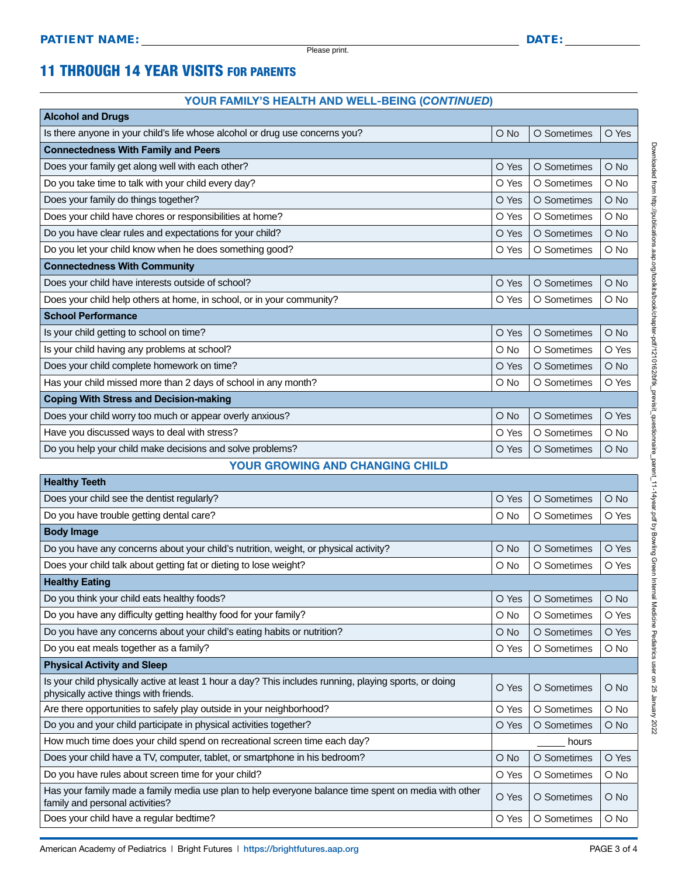# 11 THROUGH 14 YEAR VISITS FOR PARENTS

#### YOUR FAMILY'S HEALTH AND WELL-BEING (*CONTINUED*)

| <b>Alcohol and Drugs</b>                                                     |               |             |        |  |
|------------------------------------------------------------------------------|---------------|-------------|--------|--|
| Is there anyone in your child's life whose alcohol or drug use concerns you? | $O$ No        | O Sometimes | O Yes  |  |
| <b>Connectedness With Family and Peers</b>                                   |               |             |        |  |
| Does your family get along well with each other?                             | O Yes         | O Sometimes | $O$ No |  |
| Do you take time to talk with your child every day?                          | O Yes         | O Sometimes | $O$ No |  |
| Does your family do things together?                                         | O Yes         | O Sometimes | $O$ No |  |
| Does your child have chores or responsibilities at home?                     | O Yes         | O Sometimes | O No   |  |
| Do you have clear rules and expectations for your child?                     | O Yes         | O Sometimes | $O$ No |  |
| Do you let your child know when he does something good?                      | O Yes         | O Sometimes | $O$ No |  |
| <b>Connectedness With Community</b>                                          |               |             |        |  |
| Does your child have interests outside of school?                            | O Yes         | O Sometimes | $O$ No |  |
| Does your child help others at home, in school, or in your community?        | O Yes         | O Sometimes | $O$ No |  |
| <b>School Performance</b>                                                    |               |             |        |  |
| Is your child getting to school on time?                                     | O Yes         | O Sometimes | $O$ No |  |
| Is your child having any problems at school?                                 | O No          | O Sometimes | O Yes  |  |
| Does your child complete homework on time?                                   | O Yes         | O Sometimes | $O$ No |  |
| Has your child missed more than 2 days of school in any month?               | $\bigcirc$ No | O Sometimes | O Yes  |  |
| <b>Coping With Stress and Decision-making</b>                                |               |             |        |  |
| Does your child worry too much or appear overly anxious?                     | $\bigcirc$ No | O Sometimes | O Yes  |  |
| Have you discussed ways to deal with stress?                                 | O Yes         | O Sometimes | $O$ No |  |
| Do you help your child make decisions and solve problems?                    | O Yes         | O Sometimes | $O$ No |  |
| <b>YOUR GROWING AND CHANGING CHILD</b>                                       |               |             |        |  |
|                                                                              |               |             |        |  |

| <b>Healthy Teeth</b>                                                                                                                             |               |             |        |
|--------------------------------------------------------------------------------------------------------------------------------------------------|---------------|-------------|--------|
| Does your child see the dentist regularly?                                                                                                       | O Yes         | O Sometimes | O No   |
| Do you have trouble getting dental care?                                                                                                         | O No          | O Sometimes | O Yes  |
| <b>Body Image</b>                                                                                                                                |               |             |        |
| Do you have any concerns about your child's nutrition, weight, or physical activity?                                                             | $O$ No        | O Sometimes | O Yes  |
| Does your child talk about getting fat or dieting to lose weight?                                                                                | $\bigcirc$ No | O Sometimes | O Yes  |
| <b>Healthy Eating</b>                                                                                                                            |               |             |        |
| Do you think your child eats healthy foods?                                                                                                      | O Yes         | O Sometimes | $O$ No |
| Do you have any difficulty getting healthy food for your family?                                                                                 | O No          | O Sometimes | O Yes  |
| Do you have any concerns about your child's eating habits or nutrition?                                                                          | $O$ No        | O Sometimes | O Yes  |
| Do you eat meals together as a family?                                                                                                           | O Yes         | O Sometimes | $O$ No |
| <b>Physical Activity and Sleep</b>                                                                                                               |               |             |        |
| Is your child physically active at least 1 hour a day? This includes running, playing sports, or doing<br>physically active things with friends. | O Yes         | O Sometimes | O No   |
| Are there opportunities to safely play outside in your neighborhood?                                                                             | O Yes         | O Sometimes | O No   |
| Do you and your child participate in physical activities together?                                                                               | O Yes         | O Sometimes | $O$ No |
| How much time does your child spend on recreational screen time each day?                                                                        |               |             |        |
| Does your child have a TV, computer, tablet, or smartphone in his bedroom?                                                                       | O No          | O Sometimes | O Yes  |
| Do you have rules about screen time for your child?                                                                                              | O Yes         | O Sometimes | $O$ No |
| Has your family made a family media use plan to help everyone balance time spent on media with other<br>family and personal activities?          | O Yes         | O Sometimes | $O$ No |
| Does your child have a regular bedtime?                                                                                                          | O Yes         | O Sometimes | O No   |
|                                                                                                                                                  |               |             |        |